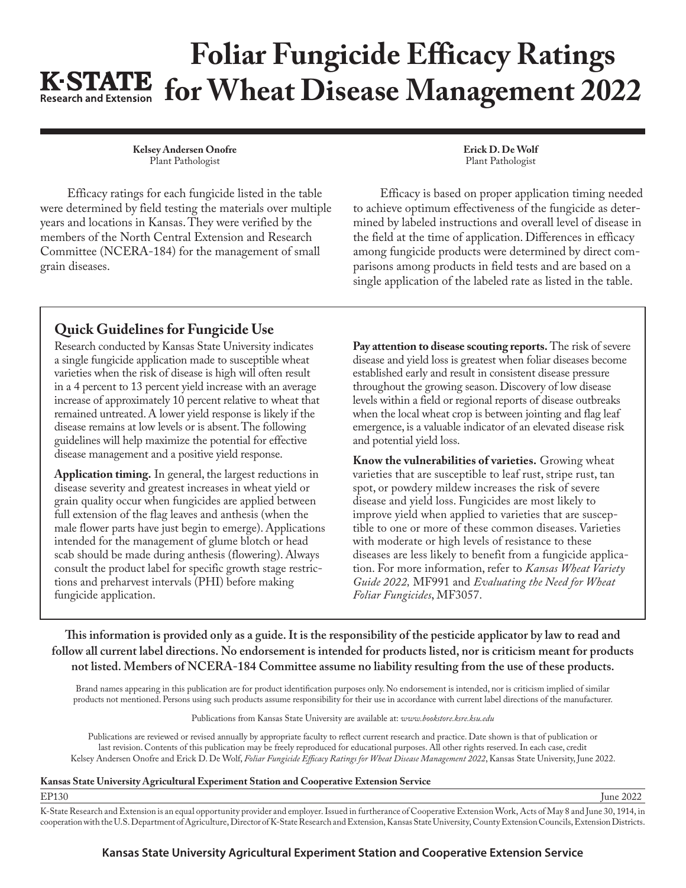## **Foliar Fungicide Efficacy Ratings K-STATE** for Wheat Disease Management 2022

**Kelsey Andersen Onofre** Plant Pathologist

Efficacy ratings for each fungicide listed in the table were determined by field testing the materials over multiple years and locations in Kansas. They were verified by the members of the North Central Extension and Research Committee (NCERA-184) for the management of small grain diseases.

**Erick D. De Wolf** Plant Pathologist

Efficacy is based on proper application timing needed to achieve optimum effectiveness of the fungicide as determined by labeled instructions and overall level of disease in the field at the time of application. Differences in efficacy among fungicide products were determined by direct comparisons among products in field tests and are based on a single application of the labeled rate as listed in the table.

## **Quick Guidelines for Fungicide Use**

Research conducted by Kansas State University indicates a single fungicide application made to susceptible wheat varieties when the risk of disease is high will often result in a 4 percent to 13 percent yield increase with an average increase of approximately 10 percent relative to wheat that remained untreated. A lower yield response is likely if the disease remains at low levels or is absent. The following guidelines will help maximize the potential for effective disease management and a positive yield response.

**Application timing.** In general, the largest reductions in disease severity and greatest increases in wheat yield or grain quality occur when fungicides are applied between full extension of the flag leaves and anthesis (when the male flower parts have just begin to emerge). Applications intended for the management of glume blotch or head scab should be made during anthesis (flowering). Always consult the product label for specific growth stage restrictions and preharvest intervals (PHI) before making fungicide application.

**Pay attention to disease scouting reports.** The risk of severe disease and yield loss is greatest when foliar diseases become established early and result in consistent disease pressure throughout the growing season. Discovery of low disease levels within a field or regional reports of disease outbreaks when the local wheat crop is between jointing and flag leaf emergence, is a valuable indicator of an elevated disease risk and potential yield loss.

**Know the vulnerabilities of varieties.** Growing wheat varieties that are susceptible to leaf rust, stripe rust, tan spot, or powdery mildew increases the risk of severe disease and yield loss. Fungicides are most likely to improve yield when applied to varieties that are susceptible to one or more of these common diseases. Varieties with moderate or high levels of resistance to these diseases are less likely to benefit from a fungicide application. For more information, refer to *Kansas Wheat Variety Guide 2022,* MF991 and *[Evaluating the Need for Wheat](http://www.ksre.ksu.edu/bookstore/pubs/MF3057.pdf)  [Foliar Fungicides](http://www.ksre.ksu.edu/bookstore/pubs/MF3057.pdf)*, MF3057.

**This information is provided only as a guide. It is the responsibility of the pesticide applicator by law to read and follow all current label directions. No endorsement is intended for products listed, nor is criticism meant for products not listed. Members of NCERA-184 Committee assume no liability resulting from the use of these products.**

Brand names appearing in this publication are for product identification purposes only. No endorsement is intended, nor is criticism implied of similar products not mentioned. Persons using such products assume responsibility for their use in accordance with current label directions of the manufacturer.

Publications from Kansas State University are available at: *[www.bookstore.ksre.ksu.edu](http://www.bookstore.ksre.ksu.edu)*

Publications are reviewed or revised annually by appropriate faculty to reflect current research and practice. Date shown is that of publication or last revision. Contents of this publication may be freely reproduced for educational purposes. All other rights reserved. In each case, credit Kelsey Andersen Onofre and Erick D. De Wolf, *[Foliar Fungicide Efficacy Ratings for Wheat Disease Management 202](http://www.ksre.ksu.edu/bookstore/pubs/EP130.pdf)2*, Kansas State University, June 2022.

## **Kansas State University Agricultural Experiment Station and Cooperative Extension Service**

EP130 June 2022 K-State Research and Extension is an equal opportunity provider and employer. Issued in furtherance of Cooperative Extension Work, Acts of May 8 and June 30, 1914, in cooperation with the U.S. Department of Agriculture, Director of K-State Research and Extension, Kansas State University, County Extension Councils, Extension Districts.